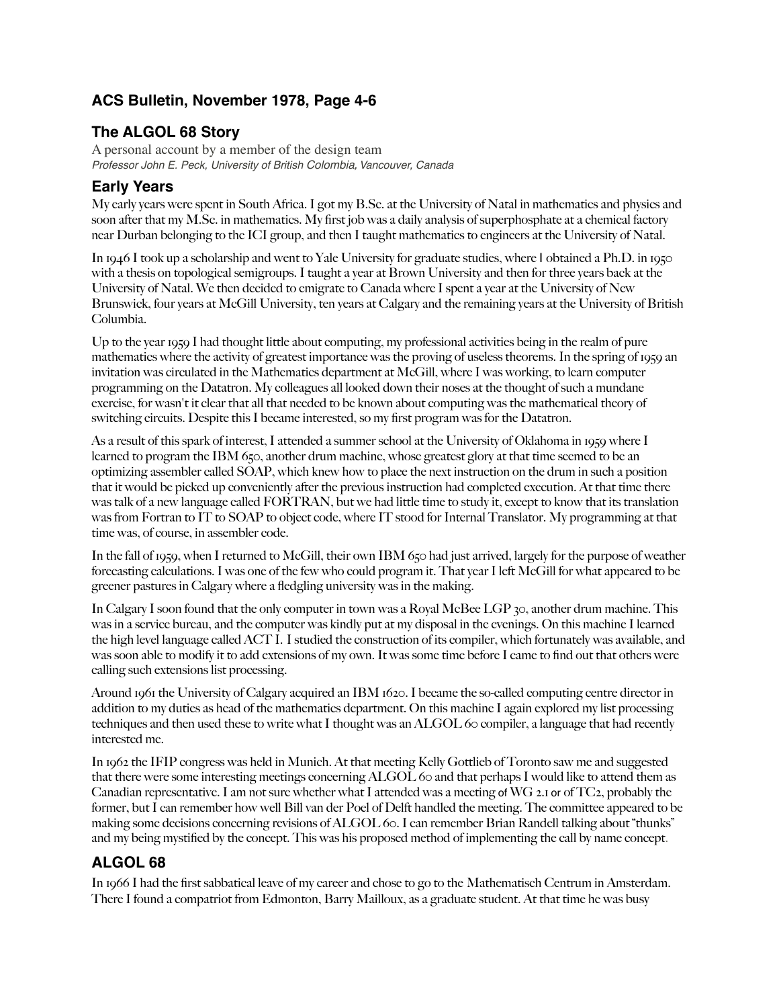# **ACS Bulletin, November 1978, Page 4-6**

### **The ALGOL 68 Story**

A personal account by a member of the design team *Professor John E. Peck, University of British Colombia, Vancouver, Canada*

### **Early Years**

My early years were spent in South Africa. I got my B.Sc. at the University of Natal in mathematics and physics and soon after that my M.Sc. in mathematics. My first job was a daily analysis of superphosphate at a chemical factory near Durban belonging to the ICI group, and then I taught mathematics to engineers at the University of Natal.

In 1946 I took up a scholarship and went to Yale University for graduate studies, where I obtained a Ph.D. in 1950 with a thesis on topological semigroups. I taught a year at Brown University and then for three years back at the University of Natal. We then decided to emigrate to Canada where I spent a year at the University of New Brunswick, four years at McGill University, ten years at Calgary and the remaining years at the University of British Columbia.

Up to the year 1959 I had thought little about computing, my professional activities being in the realm of pure mathematics where the activity of greatest importance was the proving of useless theorems. In the spring of 1959 an invitation was circulated in the Mathematics department at McGill, where I was working, to learn computer programming on the Datatron. My colleagues all looked down their noses at the thought of such a mundane exercise, for wasn't it clear that all that needed to be known about computing was the mathematical theory of switching circuits. Despite this I became interested, so my first program was for the Datatron.

As a result of this spark of interest, I attended a summer school at the University of Oklahoma in 1959 where I learned to program the IBM 650, another drum machine, whose greatest glory at that time seemed to be an optimizing assembler called SOAP, which knew how to place the next instruction on the drum in such a position that it would be picked up conveniently after the previous instruction had completed execution. At that time there was talk of a new language called FORTRAN, but we had little time to study it, except to know that its translation was from Fortran to IT to SOAP to object code, where IT stood for Internal Translator. My programming at that time was, of course, in assembler code.

In the fall of 1959, when I returned to McGill, their own IBM 650 had just arrived, largely for the purpose of weather forecasting calculations. I was one of the few who could program it. That year I left McGill for what appeared to be greener pastures in Calgary where a fledgling university was in the making.

In Calgary I soon found that the only computer in town was a Royal McBee LGP 30, another drum machine. This was in a service bureau, and the computer was kindly put at my disposal in the evenings. On this machine I learned the high level language called ACT I. I studied the construction of its compiler, which fortunately was available, and was soon able to modify it to add extensions of my own. It was some time before I came to find out that others were calling such extensions list processing.

Around 1961 the University of Calgary acquired an IBM 1620. I became the so-called computing centre director in addition to my duties as head of the mathematics department. On this machine I again explored my list processing techniques and then used these to write what I thought was an ALGOL 60 compiler, a language that had recently interested me.

In 1962 the IFIP congress was held in Munich. At that meeting Kelly Gottlieb of Toronto saw me and suggested that there were some interesting meetings concerning ALGOL 60 and that perhaps I would like to attend them as Canadian representative. I am not sure whether what I attended was a meeting of WG 2.1 or of TC2, probably the former, but I can remember how well Bill van der Poel of Delft handled the meeting. The committee appeared to be making some decisions concerning revisions of ALGOL 60. I can remember Brian Randell talking about "thunks" and my being mystified by the concept. This was his proposed method of implementing the call by name concept.

# **ALGOL 68**

In 1966 I had the first sabbatical leave of my career and chose to go to the Mathematisch Centrum in Amsterdam. There I found a compatriot from Edmonton, Barry Mailloux, as a graduate student. At that time he was busy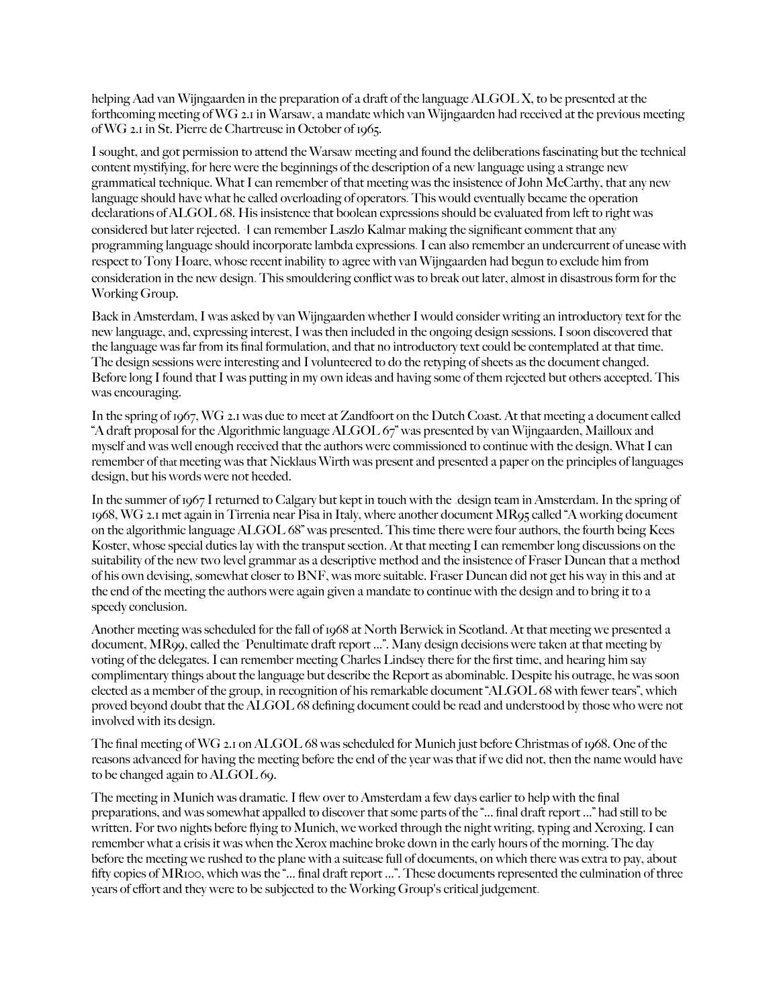helping Aad van Wijngaarden in the preparation of a draft of the language ALGOL X, to be presented at the forthcoming meeting of WG 2.1 in Warsaw, a mandate which van Wijngaarden had received at the previous meeting of WG 2.1 in St. Pierre de Chartreuse in October of 1965.

I sought, and got permission to attend the Warsaw meeting and found the deliberations fascinating but the technical content mystifying, for here were the beginnings of the description of a new language using a strange new grammatical technique. What I can remember of that meeting was the insistence of John McCarthy, that any new language should have what he called overloading of operators. This would eventually became the operation declarations of ALGOL 68. His insistence that boolean expressions should be evaluated from left to right was considered but later rejected. ·I can remember Laszlo Kalmar making the significant comment that any programming language should incorporate lambda expressions. I can also remember an undercurrent of unease with respect to Tony Hoare, whose recent inability to agree with van Wijngaarden had begun to exclude him from consideration in the new design. This smouldering conflict was to break out later, almost in disastrous form for the Working Group.

Back in Amsterdam, I was asked by van Wijngaarden whether I would consider writing an introductory text for the new language, and, expressing interest, I was then included in the ongoing design sessions. I soon discovered that the language was far from its final formulation, and that no introductory text could be contemplated at that time. The design sessions were interesting and I volunteered to do the retyping of sheets as the document changed. Before long I found that I was putting in my own ideas and having some of them rejected but others accepted. This was encouraging.

In the spring of 1967, WG 2.1 was due to meet at Zandfoort on the Dutch Coast. At that meeting a document called "A draft proposal for the Algorithmic language ALGOL 67" was presented by van Wijngaarden, Mailloux and myself and was well enough received that the authors were commissioned to continue with the design. What I can remember of that meeting was that Nicklaus Wirth was present and presented a paper on the principles of languages design, but his words were not heeded.

In the summer of 1967 I returned to Calgary but kept in touch with the ,design team in Amsterdam. In the spring of 1968, WG 2.1 met again in Tirrenia near Pisa in Italy, where another document MR95 called "A working document on the algorithmic language ALGOL 68" was presented. This time there were four authors, the fourth being Kees Koster, whose special duties lay with the transput section. At that meeting I can remember long discussions on the suitability of the new two level grammar as a descriptive method and the insistence of Fraser Duncan that a method of his own devising, somewhat closer to BNF, was more suitable. Fraser Duncan did not get his way in this and at the end of the meeting the authors were again given a mandate to continue with the design and to bring it to a speedy conclusion.

Another meeting was scheduled for the fall of 1968 at North Berwick in Scotland. At that meeting we presented a document, MR99, called the "Penultimate draft report ...". Many design decisions were taken at that meeting by voting of the delegates. I can remember meeting Charles Lindsey there for the first time, and hearing him say complimentary things about the language but describe the Report as abominable. Despite his outrage, he was soon elected as a member of the group, in recognition of his remarkable document "ALGOL 68 with fewer tears", which proved beyond doubt that the ALGOL 68 defining document could be read and understood by those who were not involved with its design.

The final meeting of WG 2.1 on ALGOL 68 was scheduled for Munich just before Christmas of 1968. One of the reasons advanced for having the meeting before the end of the year was that if we did not, then the name would have to be changed again to ALGOL 69.

The meeting in Munich was dramatic. I flew over to Amsterdam a few days earlier to help with the final preparations, and was somewhat appalled to discover that some parts of the "... final draft report ..." had still to be written. For two nights before flying to Munich, we worked through the night writing, typing and Xeroxing. I can remember what a crisis it was when the Xerox machine broke down in the early hours of the morning. The day before the meeting we rushed to the plane with a suitcase full of documents, on which there was extra to pay, about fifty copies of MR100, which was the "... final draft report ...". These documents represented the culmination of three years of effort and they were to be subjected to the Working Group's critical judgement.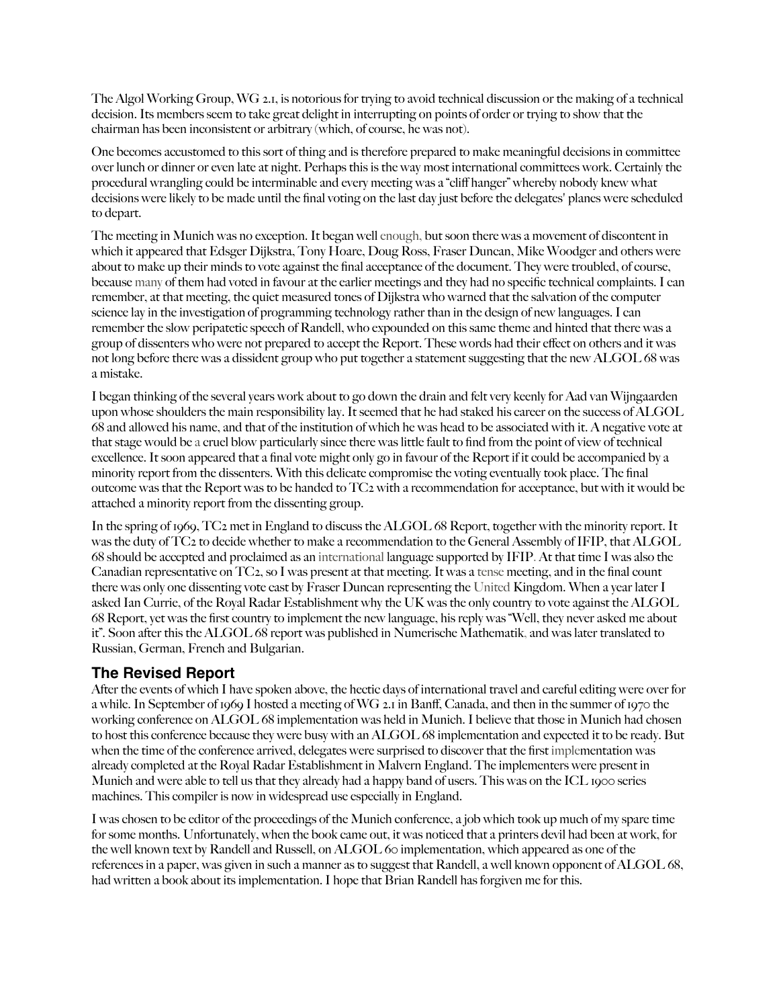The Algol Working Group, WG 2.1, is notorious for trying to avoid technical discussion or the making of a technical decision. Its members seem to take great delight in interrupting on points of order or trying to show that the chairman has been inconsistent or arbitrary (which, of course, he was not).

One becomes accustomed to this sort of thing and is therefore prepared to make meaningful decisions in committee over lunch or dinner or even late at night. Perhaps this is the way most international committees work. Certainly the procedural wrangling could be interminable and every meeting was a "cliff hanger" whereby nobody knew what decisions were likely to be made until the final voting on the last day just before the delegates' planes were scheduled to depart.

The meeting in Munich was no exception. It began well enough, but soon there was a movement of discontent in which it appeared that Edsger Dijkstra, Tony Hoare, Doug Ross, Fraser Duncan, Mike Woodger and others were about to make up their minds to vote against the final acceptance of the document. They were troubled, of course, because many of them had voted in favour at the earlier meetings and they had no specific technical complaints. I can remember, at that meeting, the quiet measured tones of Dijkstra who warned that the salvation of the computer science lay in the investigation of programming technology rather than in the design of new languages. I can remember the slow peripatetic speech of Randell, who expounded on this same theme and hinted that there was a group of dissenters who were not prepared to accept the Report. These words had their effect on others and it was not long before there was a dissident group who put together a statement suggesting that the new ALGOL 68 was a mistake.

I began thinking of the several years work about to go down the drain and felt very keenly for Aad van Wijngaarden upon whose shoulders the main responsibility lay. It seemed that he had staked his career on the success of ALGOL 68 and allowed his name, and that of the institution of which he was head to be associated with it. A negative vote at that stage would be a cruel blow particularly since there was little fault to find from the point of view of technical excellence. It soon appeared that a final vote might only go in favour of the Report if it could be accompanied by a minority report from the dissenters. With this delicate compromise the voting eventually took place. The final outcome was that the Report was to be handed to TC2 with a recommendation for acceptance, but with it would be attached a minority report from the dissenting group.

In the spring of 1969, TC2 met in England to discuss the ALGOL 68 Report, together with the minority report. It was the duty of TC2 to decide whether to make a recommendation to the General Assembly of IFIP, that ALGOL 68 should be accepted and proclaimed as an international language supported by IFIP. At that time I was also the Canadian representative on TC2, so I was present at that meeting. It was a tense meeting, and in the final count there was only one dissenting vote cast by Fraser Duncan representing the United Kingdom. When a year later I asked Ian Currie, of the Royal Radar Establishment why the UK was the only country to vote against the ALGOL 68 Report, yet was the first country to implement the new language, his reply was "Well, they never asked me about it". Soon after this the ALGOL 68 report was published in Numerische Mathematik, and was later translated to Russian, German, French and Bulgarian.

#### **The Revised Report**

After the events of which I have spoken above, the hectic days of international travel and careful editing were over for a while. In September of 1969 I hosted a meeting of WG 2.1 in Banff, Canada, and then in the summer of 1970 the working conference on ALGOL 68 implementation was held in Munich. I believe that those in Munich had chosen to host this conference because they were busy with an ALGOL 68 implementation and expected it to be ready. But when the time of the conference arrived, delegates were surprised to discover that the first implementation was already completed at the Royal Radar Establishment in Malvern England. The implementers were present in Munich and were able to tell us that they already had a happy band of users. This was on the ICL 1900 series machines. This compiler is now in widespread use especially in England.

I was chosen to be editor of the proceedings of the Munich conference, a job which took up much of my spare time for some months. Unfortunately, when the book came out, it was noticed that a printers devil had been at work, for the well known text by Randell and Russell, on ALGOL 60 implementation, which appeared as one of the references in a paper, was given in such a manner as to suggest that Randell, a well known opponent of ALGOL 68, had written a book about its implementation. I hope that Brian Randell has forgiven me for this.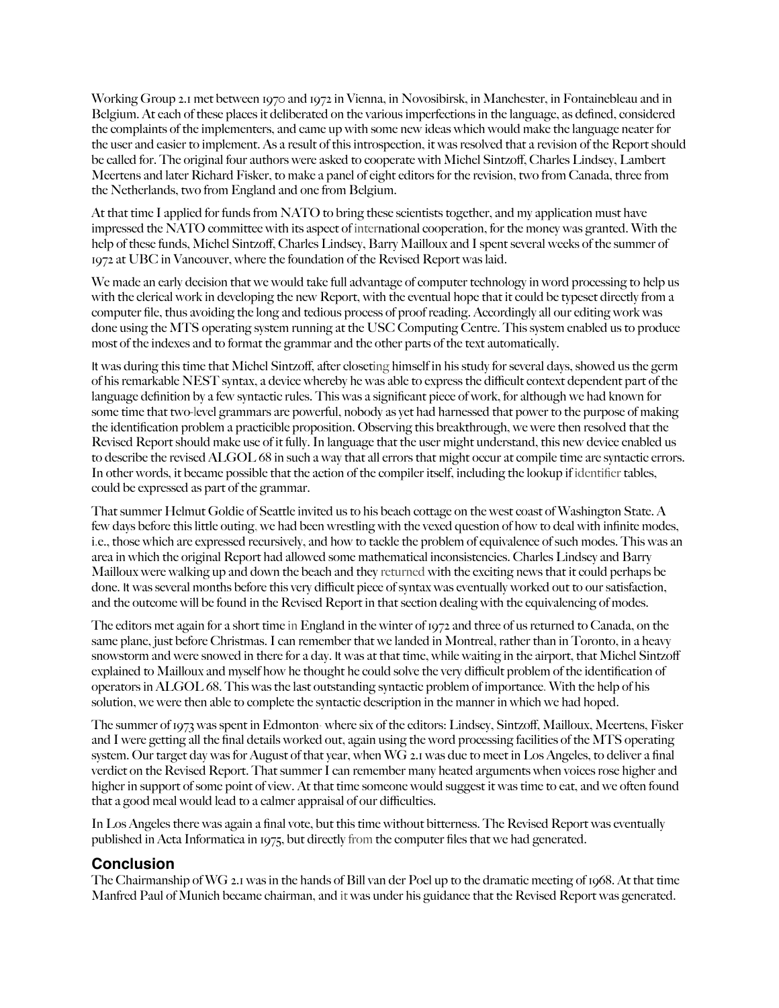Working Group 2.1 met between 1970 and 1972 in Vienna, in Novosibirsk, in Manchester, in Fontainebleau and in Belgium. At each of these places it deliberated on the various imperfections in the language, as defined, considered the complaints of the implementers, and came up with some new ideas which would make the language neater for the user and easier to implement. As a result of this introspection, it was resolved that a revision of the Report should be called for. The original four authors were asked to cooperate with Michel Sintzoff, Charles Lindsey, Lambert Meertens and later Richard Fisker, to make a panel of eight editors for the revision, two from Canada, three from the Netherlands, two from England and one from Belgium.

At that time I applied for funds from NATO to bring these scientists together, and my application must have impressed the NATO committee with its aspect of international cooperation, for the money was granted. With the help of these funds, Michel Sintzoff, Charles Lindsey, Barry Mailloux and I spent several weeks of the summer of 1972 at UBC in Vancouver, where the foundation of the Revised Report was laid.

We made an early decision that we would take full advantage of computer technology in word processing to help us with the clerical work in developing the new Report, with the eventual hope that it could be typeset directly from a computer file, thus avoiding the long and tedious process of proof reading. Accordingly all our editing work was done using the MTS operating system running at the USC Computing Centre. This system enabled us to produce most of the indexes and to format the grammar and the other parts of the text automatically.

It was during this time that Michel Sintzoff, after closeting himself in his study for several days, showed us the germ of his remarkable NEST syntax, a device whereby he was able to express the difficult context dependent part of the language definition by a few syntactic rules. This was a significant piece of work, for although we had known for some time that two-level grammars are powerful, nobody as yet had harnessed that power to the purpose of making the identification problem a practicible proposition. Observing this breakthrough, we were then resolved that the Revised Report should make use of it fully. In language that the user might understand, this new device enabled us to describe the revised ALGOL 68 in such a way that all errors that might occur at compile time are syntactic errors. In other words, it became possible that the action of the compiler itself, including the lookup if identifier tables, could be expressed as part of the grammar.

That summer Helmut Goldie of Seattle invited us to his beach cottage on the west coast of Washington State. A few days before this little outing, we had been wrestling with the vexed question of how to deal with infinite modes, i.e., those which are expressed recursively, and how to tackle the problem of equivalence of such modes. This was an area in which the original Report had allowed some mathematical inconsistencies. Charles Lindsey and Barry Mailloux were walking up and down the beach and they returned with the exciting news that it could perhaps be done. It was several months before this very difficult piece of syntax was eventually worked out to our satisfaction, and the outcome will be found in the Revised Report in that section dealing with the equivalencing of modes.

The editors met again for a short time in England in the winter of 1972 and three of us returned to Canada, on the same plane, just before Christmas. I can remember that we landed in Montreal, rather than in Toronto, in a heavy snowstorm and were snowed in there for a day. It was at that time, while waiting in the airport, that Michel Sintzoff explained to Mailloux and myself how he thought he could solve the very difficult problem of the identification of operators in ALGOL 68. This was the last outstanding syntactic problem of importance. With the help of his solution, we were then able to complete the syntactic description in the manner in which we had hoped.

The summer of 1973 was spent in Edmonton· where six of the editors: Lindsey, Sintzoff, Mailloux, Meertens, Fisker and I were getting all the final details worked out, again using the word processing facilities of the MTS operating system. Our target day was for August of that year, when WG 2.1 was due to meet in Los Angeles, to deliver a final verdict on the Revised Report. That summer I can remember many heated arguments when voices rose higher and higher in support of some point of view. At that time someone would suggest it was time to eat, and we often found that a good meal would lead to a calmer appraisal of our difficulties.

In Los Angeles there was again a final vote, but this time without bitterness. The Revised Report was eventually published in Acta Informatica in 1975, but directly from the computer files that we had generated.

#### **Conclusion**

The Chairmanship of WG 2.1 was in the hands of Bill van der Poel up to the dramatic meeting of 1968. At that time Manfred Paul of Munich became chairman, and it was under his guidance that the Revised Report was generated.